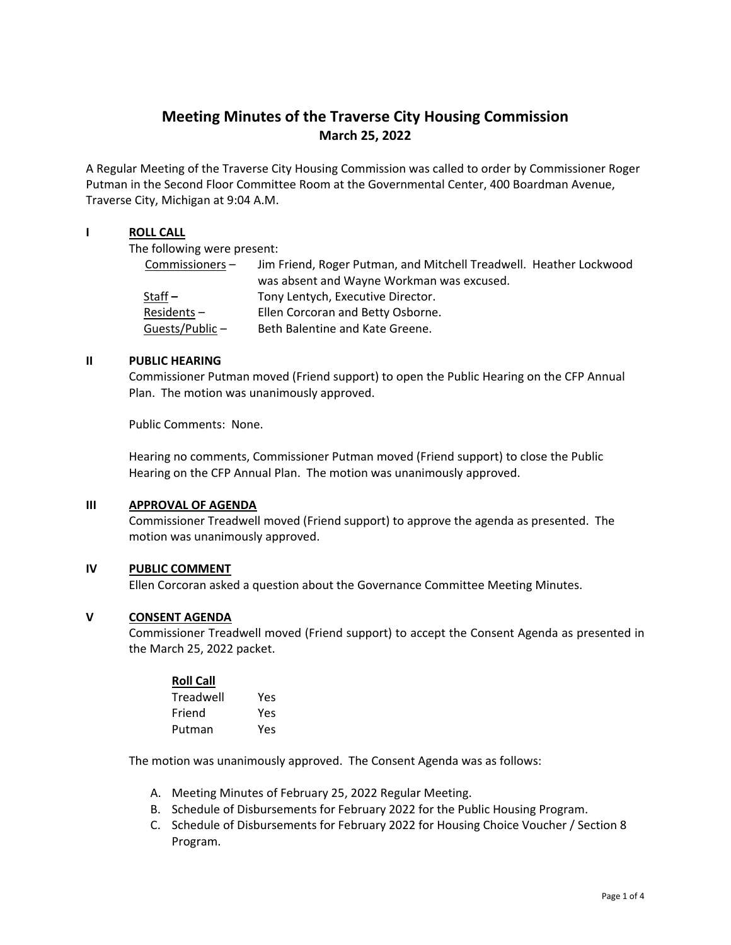# **Meeting Minutes of the Traverse City Housing Commission March 25, 2022**

A Regular Meeting of the Traverse City Housing Commission was called to order by Commissioner Roger Putman in the Second Floor Committee Room at the Governmental Center, 400 Boardman Avenue, Traverse City, Michigan at 9:04 A.M.

## **I ROLL CALL**

The following were present:

| Commissioners- | Jim Friend, Roger Putman, and Mitchell Treadwell. Heather Lockwood |
|----------------|--------------------------------------------------------------------|
|                | was absent and Wayne Workman was excused.                          |
| Staff $-$      | Tony Lentych, Executive Director.                                  |
| Residents-     | Ellen Corcoran and Betty Osborne.                                  |
| Guests/Public- | Beth Balentine and Kate Greene.                                    |

### **II PUBLIC HEARING**

Commissioner Putman moved (Friend support) to open the Public Hearing on the CFP Annual Plan. The motion was unanimously approved.

Public Comments: None.

Hearing no comments, Commissioner Putman moved (Friend support) to close the Public Hearing on the CFP Annual Plan. The motion was unanimously approved.

## **III APPROVAL OF AGENDA**

Commissioner Treadwell moved (Friend support) to approve the agenda as presented. The motion was unanimously approved.

#### **IV PUBLIC COMMENT**

Ellen Corcoran asked a question about the Governance Committee Meeting Minutes.

#### **V CONSENT AGENDA**

Commissioner Treadwell moved (Friend support) to accept the Consent Agenda as presented in the March 25, 2022 packet.

#### **Roll Call**

| Treadwell | Yes |
|-----------|-----|
| Friend    | Yes |
| Putman    | Yes |

The motion was unanimously approved. The Consent Agenda was as follows:

- A. Meeting Minutes of February 25, 2022 Regular Meeting.
- B. Schedule of Disbursements for February 2022 for the Public Housing Program.
- C. Schedule of Disbursements for February 2022 for Housing Choice Voucher / Section 8 Program.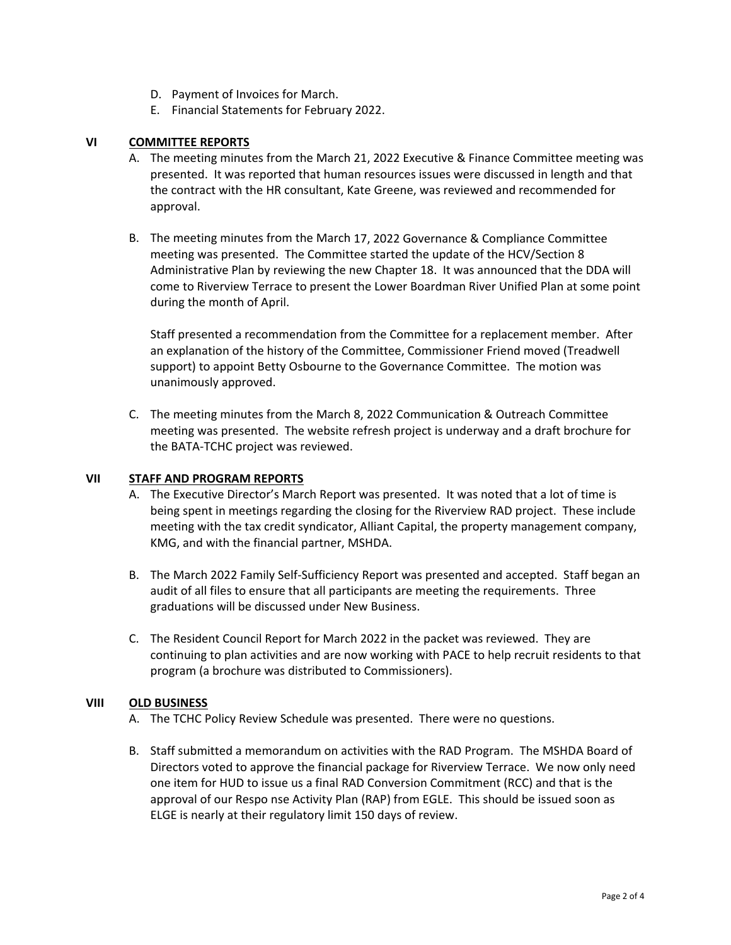- D. Payment of Invoices for March.
- E. Financial Statements for February 2022.

### **VI COMMITTEE REPORTS**

- A. The meeting minutes from the March 21, 2022 Executive & Finance Committee meeting was presented. It was reported that human resources issues were discussed in length and that the contract with the HR consultant, Kate Greene, was reviewed and recommended for approval.
- B. The meeting minutes from the March 17, 2022 Governance & Compliance Committee meeting was presented. The Committee started the update of the HCV/Section 8 Administrative Plan by reviewing the new Chapter 18. It was announced that the DDA will come to Riverview Terrace to present the Lower Boardman River Unified Plan at some point during the month of April.

Staff presented a recommendation from the Committee for a replacement member. After an explanation of the history of the Committee, Commissioner Friend moved (Treadwell support) to appoint Betty Osbourne to the Governance Committee. The motion was unanimously approved.

C. The meeting minutes from the March 8, 2022 Communication & Outreach Committee meeting was presented. The website refresh project is underway and a draft brochure for the BATA‐TCHC project was reviewed.

## **VII STAFF AND PROGRAM REPORTS**

- A. The Executive Director's March Report was presented. It was noted that a lot of time is being spent in meetings regarding the closing for the Riverview RAD project. These include meeting with the tax credit syndicator, Alliant Capital, the property management company, KMG, and with the financial partner, MSHDA.
- B. The March 2022 Family Self‐Sufficiency Report was presented and accepted. Staff began an audit of all files to ensure that all participants are meeting the requirements. Three graduations will be discussed under New Business.
- C. The Resident Council Report for March 2022 in the packet was reviewed. They are continuing to plan activities and are now working with PACE to help recruit residents to that program (a brochure was distributed to Commissioners).

#### **VIII OLD BUSINESS**

- A. The TCHC Policy Review Schedule was presented. There were no questions.
- B. Staff submitted a memorandum on activities with the RAD Program. The MSHDA Board of Directors voted to approve the financial package for Riverview Terrace. We now only need one item for HUD to issue us a final RAD Conversion Commitment (RCC) and that is the approval of our Respo nse Activity Plan (RAP) from EGLE. This should be issued soon as ELGE is nearly at their regulatory limit 150 days of review.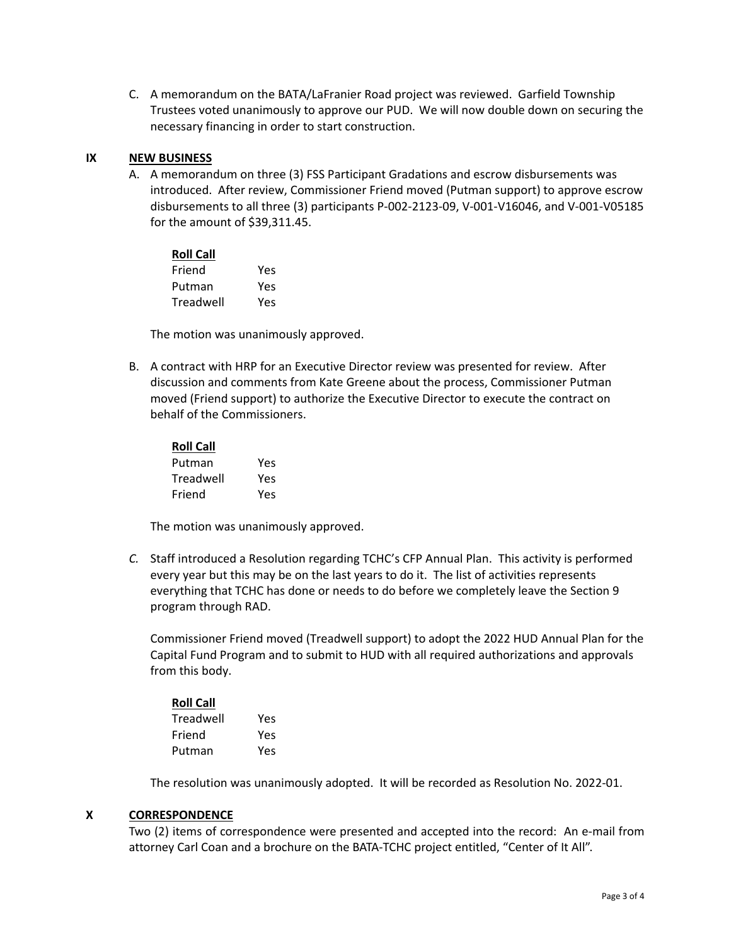C. A memorandum on the BATA/LaFranier Road project was reviewed. Garfield Township Trustees voted unanimously to approve our PUD. We will now double down on securing the necessary financing in order to start construction.

## **IX NEW BUSINESS**

A. A memorandum on three (3) FSS Participant Gradations and escrow disbursements was introduced. After review, Commissioner Friend moved (Putman support) to approve escrow disbursements to all three (3) participants P‐002‐2123‐09, V‐001‐V16046, and V‐001‐V05185 for the amount of \$39,311.45.

| <b>Roll Call</b> |     |  |
|------------------|-----|--|
| Friend           | Yes |  |
| Putman           | Yes |  |
| Treadwell        | Yes |  |

The motion was unanimously approved.

B. A contract with HRP for an Executive Director review was presented for review. After discussion and comments from Kate Greene about the process, Commissioner Putman moved (Friend support) to authorize the Executive Director to execute the contract on behalf of the Commissioners.

| <b>Roll Call</b> |     |  |  |
|------------------|-----|--|--|
| Putman           | Yes |  |  |
| Treadwell        | Yes |  |  |
| Friend           | Υρς |  |  |

The motion was unanimously approved.

*C.* Staff introduced a Resolution regarding TCHC's CFP Annual Plan. This activity is performed every year but this may be on the last years to do it. The list of activities represents everything that TCHC has done or needs to do before we completely leave the Section 9 program through RAD.

Commissioner Friend moved (Treadwell support) to adopt the 2022 HUD Annual Plan for the Capital Fund Program and to submit to HUD with all required authorizations and approvals from this body.

| <b>Roll Call</b> |     |
|------------------|-----|
| Treadwell        | Yes |
| Friend           | Yes |
| Putman           | Yes |

The resolution was unanimously adopted. It will be recorded as Resolution No. 2022‐01.

#### **X CORRESPONDENCE**

Two (2) items of correspondence were presented and accepted into the record: An e‐mail from attorney Carl Coan and a brochure on the BATA‐TCHC project entitled, "Center of It All".